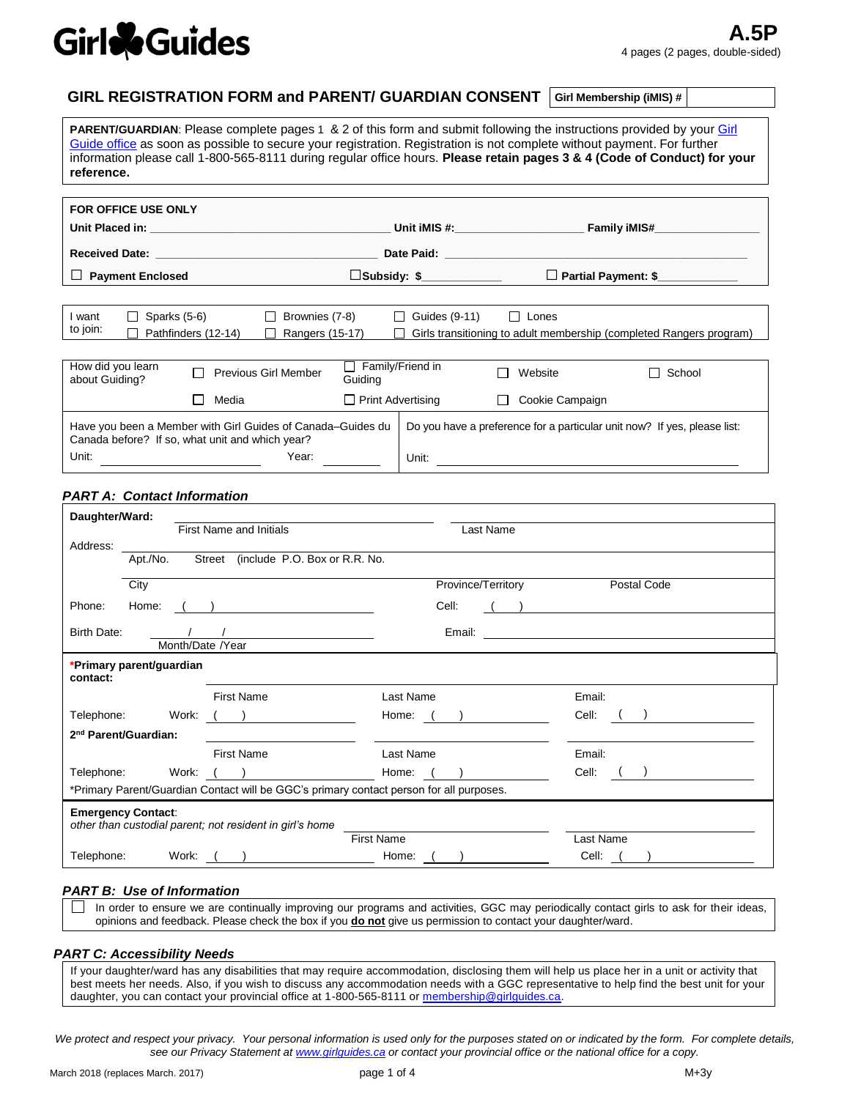# Girl & Guides

#### **GIRL REGISTRATION FORM and PARENT/ GUARDIAN CONSENT Girl Membership (iMIS) #**

PARENT/GUARDIAN: Please complete pages 1 & 2 of this form and submit following the instructions provided by your Girl [Guide](https://www.girlguides.ca/web/GGC/Join_Us/Provincial_Contacts/GGC/Join_Us/Provincial_Contacts.aspx) office as soon as possible to secure your registration. Registration is not complete without payment. For further information please call 1-800-565-8111 during regular office hours. **Please retain pages 3 & 4 (Code of Conduct) for your reference.**

| <b>FOR OFFICE USE ONLY</b>                                                                                     |                                                                   | Date Paid: The Contract of the Contract of the Contract of the Contract of the Contract of the Contract of the | Unit iMIS #: Family iMIS# |                                                                     |
|----------------------------------------------------------------------------------------------------------------|-------------------------------------------------------------------|----------------------------------------------------------------------------------------------------------------|---------------------------|---------------------------------------------------------------------|
| <b>Payment Enclosed</b>                                                                                        |                                                                   | □Subsidy: \$                                                                                                   |                           | Partial Payment: \$                                                 |
|                                                                                                                |                                                                   |                                                                                                                |                           |                                                                     |
| Sparks (5-6)<br>I want<br>to join:<br>Pathfinders (12-14)                                                      | Brownies (7-8)<br>$\mathbf{L}$<br>Rangers (15-17)                 | Guides (9-11)<br>$\perp$<br>l 1                                                                                | Lones<br>$\perp$          | Girls transitioning to adult membership (completed Rangers program) |
| How did you learn<br>about Guiding?                                                                            | $\Box$ Family/Friend in<br><b>Previous Girl Member</b><br>Guiding |                                                                                                                | Website                   | School                                                              |
| Media                                                                                                          | $\Box$ Print Advertising                                          |                                                                                                                | Cookie Campaign           |                                                                     |
| Have you been a Member with Girl Guides of Canada–Guides du<br>Canada before? If so, what unit and which year? |                                                                   | Do you have a preference for a particular unit now? If yes, please list:                                       |                           |                                                                     |
| Unit:                                                                                                          | Year:                                                             | Unit:                                                                                                          |                           |                                                                     |

#### *PART A: Contact Information*

| Daughter/Ward:                       |                  |                                                          |                                                                                         |                    |                                                                                                                                                                                                                                      |
|--------------------------------------|------------------|----------------------------------------------------------|-----------------------------------------------------------------------------------------|--------------------|--------------------------------------------------------------------------------------------------------------------------------------------------------------------------------------------------------------------------------------|
|                                      |                  | <b>First Name and Initials</b>                           |                                                                                         | Last Name          |                                                                                                                                                                                                                                      |
| Address:                             |                  |                                                          |                                                                                         |                    |                                                                                                                                                                                                                                      |
| Apt./No.                             |                  | Street (include P.O. Box or R.R. No.                     |                                                                                         |                    |                                                                                                                                                                                                                                      |
| City                                 |                  |                                                          |                                                                                         | Province/Territory | Postal Code                                                                                                                                                                                                                          |
| Home:<br>Phone:                      |                  | <u> 1989 - Andrea Station, Amerikaansk politiker (</u>   | Cell:                                                                                   |                    | <u>and the state of the state of the state of the state of the state of the state of the state of the state of the state of the state of the state of the state of the state of the state of the state of the state of the state</u> |
| Birth Date:                          |                  |                                                          | Email:                                                                                  |                    |                                                                                                                                                                                                                                      |
|                                      | Month/Date /Year |                                                          |                                                                                         |                    |                                                                                                                                                                                                                                      |
| *Primary parent/guardian<br>contact: |                  |                                                          |                                                                                         |                    |                                                                                                                                                                                                                                      |
|                                      |                  | <b>First Name</b>                                        | Last Name                                                                               |                    | Email:                                                                                                                                                                                                                               |
| Telephone:                           |                  | Work: <u>( )</u>                                         | Home: $($ )                                                                             |                    | Cell:                                                                                                                                                                                                                                |
| 2 <sup>nd</sup> Parent/Guardian:     |                  |                                                          |                                                                                         |                    |                                                                                                                                                                                                                                      |
|                                      |                  | <b>First Name</b>                                        | Last Name                                                                               |                    | Email:                                                                                                                                                                                                                               |
| Telephone:                           | Work:            |                                                          | Home:                                                                                   |                    | Cell:                                                                                                                                                                                                                                |
|                                      |                  |                                                          | *Primary Parent/Guardian Contact will be GGC's primary contact person for all purposes. |                    |                                                                                                                                                                                                                                      |
| <b>Emergency Contact:</b>            |                  | other than custodial parent; not resident in girl's home |                                                                                         |                    |                                                                                                                                                                                                                                      |
|                                      |                  |                                                          | <b>First Name</b>                                                                       |                    | Last Name                                                                                                                                                                                                                            |
| Telephone:                           | Work:            |                                                          | Home:                                                                                   |                    | Cell:                                                                                                                                                                                                                                |

#### *PART B: Use of Information*

In order to ensure we are continually improving our programs and activities, GGC may periodically contact girls to ask for their ideas, opinions and feedback. Please check the box if you **do not** give us permission to contact your daughter/ward.

#### *PART C: Accessibility Needs*

If your daughter/ward has any disabilities that may require accommodation, disclosing them will help us place her in a unit or activity that best meets her needs. Also, if you wish to discuss any accommodation needs with a GGC representative to help find the best unit for your daughter, you can contact your provincial office at 1-800-565-8111 o[r membership@girlguides.ca.](mailto:membership@girlguides.ca)

*We protect and respect your privacy. Your personal information is used only for the purposes stated on or indicated by the form. For complete details, see our Privacy Statement at [www.girlguides.ca](http://www.girlguides.ca/) or contact your provincial office or the national office for a copy.*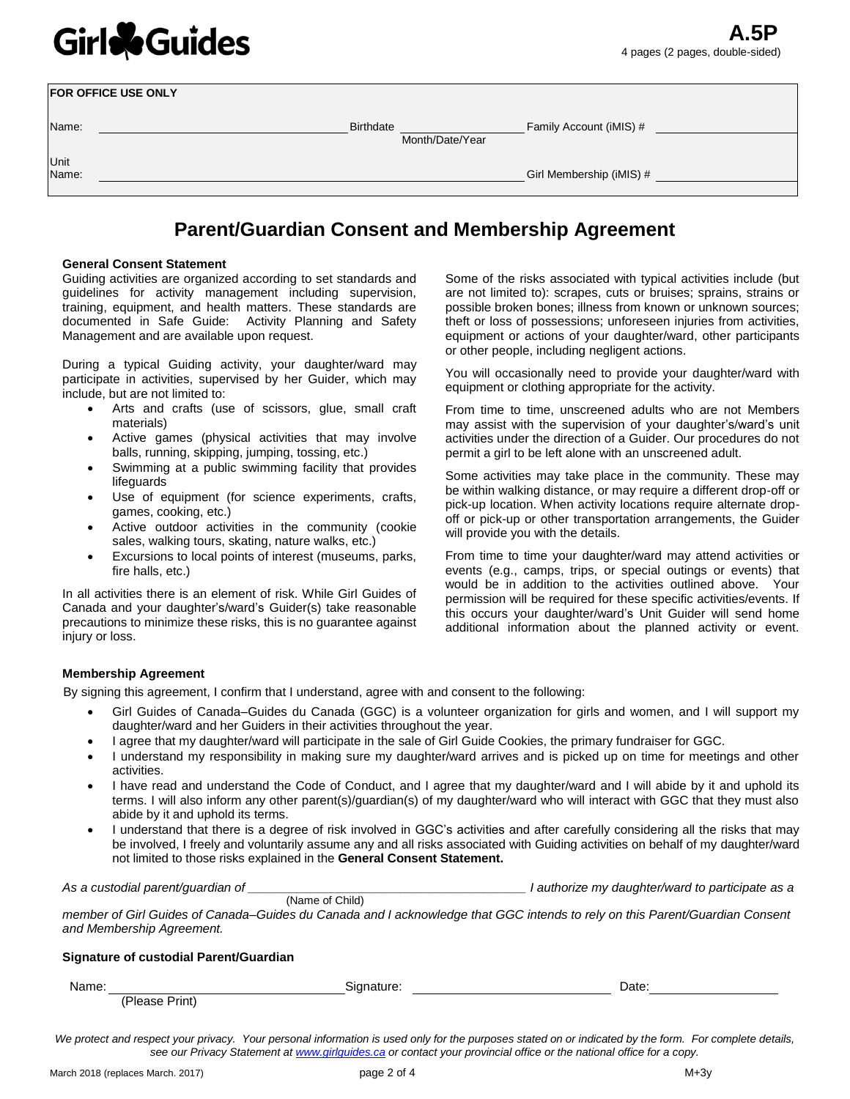# Girl & Guides

|       | FOR OFFICE USE ONLY |                  |                 |                          |
|-------|---------------------|------------------|-----------------|--------------------------|
| Name: |                     | <b>Birthdate</b> |                 | Family Account (iMIS) #  |
|       |                     |                  | Month/Date/Year |                          |
| Unit  |                     |                  |                 |                          |
| Name: |                     |                  |                 | Girl Membership (iMIS) # |
|       |                     |                  |                 |                          |

### **Parent/Guardian Consent and Membership Agreement**

#### **General Consent Statement**

Guiding activities are organized according to set standards and guidelines for activity management including supervision, training, equipment, and health matters. These standards are documented in Safe Guide: Activity Planning and Safety Management and are available upon request.

During a typical Guiding activity, your daughter/ward may participate in activities, supervised by her Guider, which may include, but are not limited to:

- Arts and crafts (use of scissors, glue, small craft materials)
- Active games (physical activities that may involve balls, running, skipping, jumping, tossing, etc.)
- Swimming at a public swimming facility that provides lifeguards
- Use of equipment (for science experiments, crafts, games, cooking, etc.)
- Active outdoor activities in the community (cookie sales, walking tours, skating, nature walks, etc.)
- Excursions to local points of interest (museums, parks, fire halls, etc.)

In all activities there is an element of risk. While Girl Guides of Canada and your daughter's/ward's Guider(s) take reasonable precautions to minimize these risks, this is no guarantee against injury or loss.

Some of the risks associated with typical activities include (but are not limited to): scrapes, cuts or bruises; sprains, strains or possible broken bones; illness from known or unknown sources; theft or loss of possessions; unforeseen injuries from activities, equipment or actions of your daughter/ward, other participants or other people, including negligent actions.

You will occasionally need to provide your daughter/ward with equipment or clothing appropriate for the activity.

From time to time, unscreened adults who are not Members may assist with the supervision of your daughter's/ward's unit activities under the direction of a Guider. Our procedures do not permit a girl to be left alone with an unscreened adult.

Some activities may take place in the community. These may be within walking distance, or may require a different drop-off or pick-up location. When activity locations require alternate dropoff or pick-up or other transportation arrangements, the Guider will provide you with the details.

From time to time your daughter/ward may attend activities or events (e.g., camps, trips, or special outings or events) that would be in addition to the activities outlined above. Your permission will be required for these specific activities/events. If this occurs your daughter/ward's Unit Guider will send home additional information about the planned activity or event.

#### **Membership Agreement**

By signing this agreement, I confirm that I understand, agree with and consent to the following:

(Name of Child)

- Girl Guides of Canada–Guides du Canada (GGC) is a volunteer organization for girls and women, and I will support my daughter/ward and her Guiders in their activities throughout the year.
- I agree that my daughter/ward will participate in the sale of Girl Guide Cookies, the primary fundraiser for GGC.
- I understand my responsibility in making sure my daughter/ward arrives and is picked up on time for meetings and other activities.
- I have read and understand the Code of Conduct, and I agree that my daughter/ward and I will abide by it and uphold its terms. I will also inform any other parent(s)/guardian(s) of my daughter/ward who will interact with GGC that they must also abide by it and uphold its terms.
- I understand that there is a degree of risk involved in GGC's activities and after carefully considering all the risks that may be involved, I freely and voluntarily assume any and all risks associated with Guiding activities on behalf of my daughter/ward not limited to those risks explained in the **General Consent Statement.**

*As a custodial parent/guardian of \_\_\_\_\_\_\_\_\_\_\_\_\_\_\_\_\_\_\_\_\_\_\_\_\_\_\_\_\_\_\_\_\_\_\_\_\_\_\_\_ I authorize my daughter/ward to participate as a* 

*member of Girl Guides of Canada–Guides du Canada and I acknowledge that GGC intends to rely on this Parent/Guardian Consent and Membership Agreement.*

#### **Signature of custodial Parent/Guardian**

| Name: | <b>.</b><br>Signature: . | Date: |  |
|-------|--------------------------|-------|--|
| (DI)  | Print,                   |       |  |

*We protect and respect your privacy. Your personal information is used only for the purposes stated on or indicated by the form. For complete details, see our Privacy Statement at [www.girlguides.ca](http://www.girlguides.ca/) or contact your provincial office or the national office for a copy.*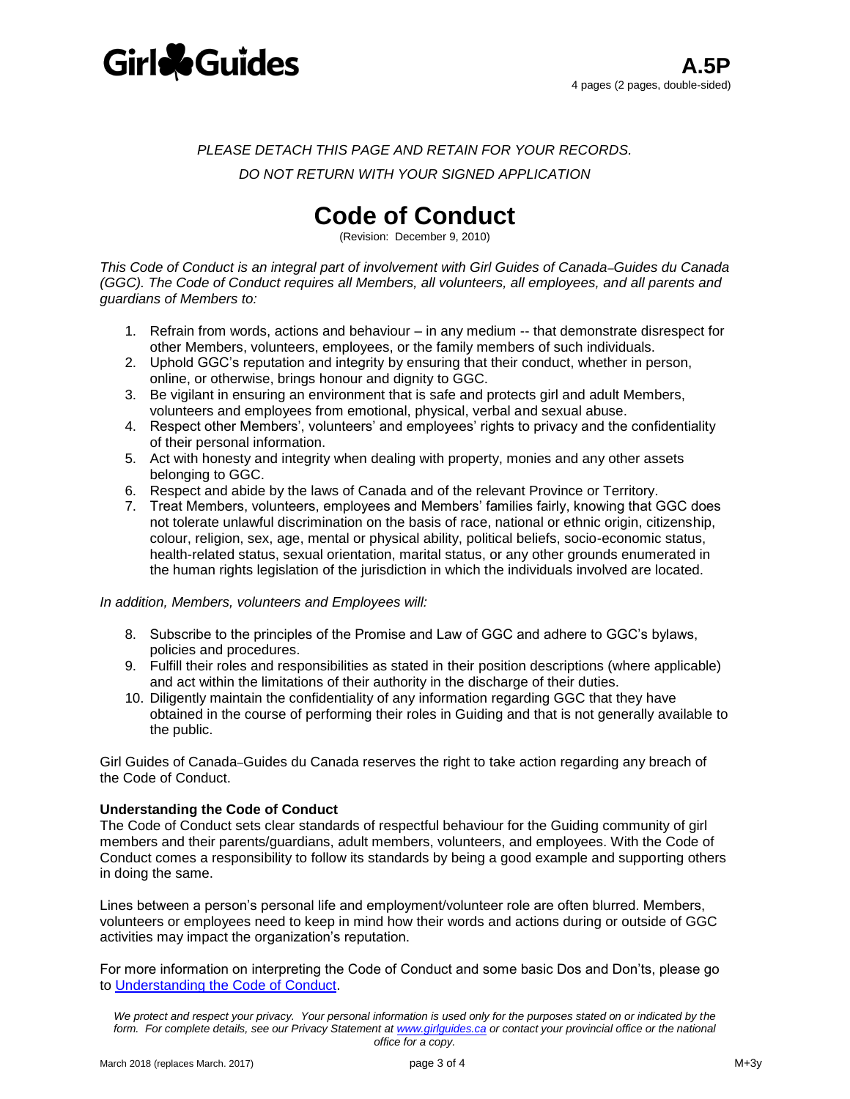

*PLEASE DETACH THIS PAGE AND RETAIN FOR YOUR RECORDS.* 

*DO NOT RETURN WITH YOUR SIGNED APPLICATION*

## **Code of Conduct**

(Revision: December 9, 2010)

*This Code of Conduct is an integral part of involvement with Girl Guides of Canada*–*Guides du Canada (GGC). The Code of Conduct requires all Members, all volunteers, all employees, and all parents and guardians of Members to:*

- 1. Refrain from words, actions and behaviour in any medium -- that demonstrate disrespect for other Members, volunteers, employees, or the family members of such individuals.
- 2. Uphold GGC's reputation and integrity by ensuring that their conduct, whether in person, online, or otherwise, brings honour and dignity to GGC.
- 3. Be vigilant in ensuring an environment that is safe and protects girl and adult Members, volunteers and employees from emotional, physical, verbal and sexual abuse.
- 4. Respect other Members', volunteers' and employees' rights to privacy and the confidentiality of their personal information.
- 5. Act with honesty and integrity when dealing with property, monies and any other assets belonging to GGC.
- 6. Respect and abide by the laws of Canada and of the relevant Province or Territory.
- 7. Treat Members, volunteers, employees and Members' families fairly, knowing that GGC does not tolerate unlawful discrimination on the basis of race, national or ethnic origin, citizenship, colour, religion, sex, age, mental or physical ability, political beliefs, socio-economic status, health-related status, sexual orientation, marital status, or any other grounds enumerated in the human rights legislation of the jurisdiction in which the individuals involved are located.

#### *In addition, Members, volunteers and Employees will:*

- 8. Subscribe to the principles of the Promise and Law of GGC and adhere to GGC's bylaws, policies and procedures.
- 9. Fulfill their roles and responsibilities as stated in their position descriptions (where applicable) and act within the limitations of their authority in the discharge of their duties.
- 10. Diligently maintain the confidentiality of any information regarding GGC that they have obtained in the course of performing their roles in Guiding and that is not generally available to the public.

Girl Guides of Canada–Guides du Canada reserves the right to take action regarding any breach of the Code of Conduct.

#### **Understanding the Code of Conduct**

The Code of Conduct sets clear standards of respectful behaviour for the Guiding community of girl members and their parents/guardians, adult members, volunteers, and employees. With the Code of Conduct comes a responsibility to follow its standards by being a good example and supporting others in doing the same.

Lines between a person's personal life and employment/volunteer role are often blurred. Members, volunteers or employees need to keep in mind how their words and actions during or outside of GGC activities may impact the organization's reputation.

For more information on interpreting the Code of Conduct and some basic Dos and Don'ts, please go to [Understanding the Code of Conduct.](https://www.girlguides.ca/WEB/Documents/GGC/parents/who_we_are/understanding-code-of-conduct.pdf)

*We protect and respect your privacy. Your personal information is used only for the purposes stated on or indicated by the*  form. For complete details, see our Privacy Statement at **www.girlguides.ca** or contact your provincial office or the national *office for a copy.*